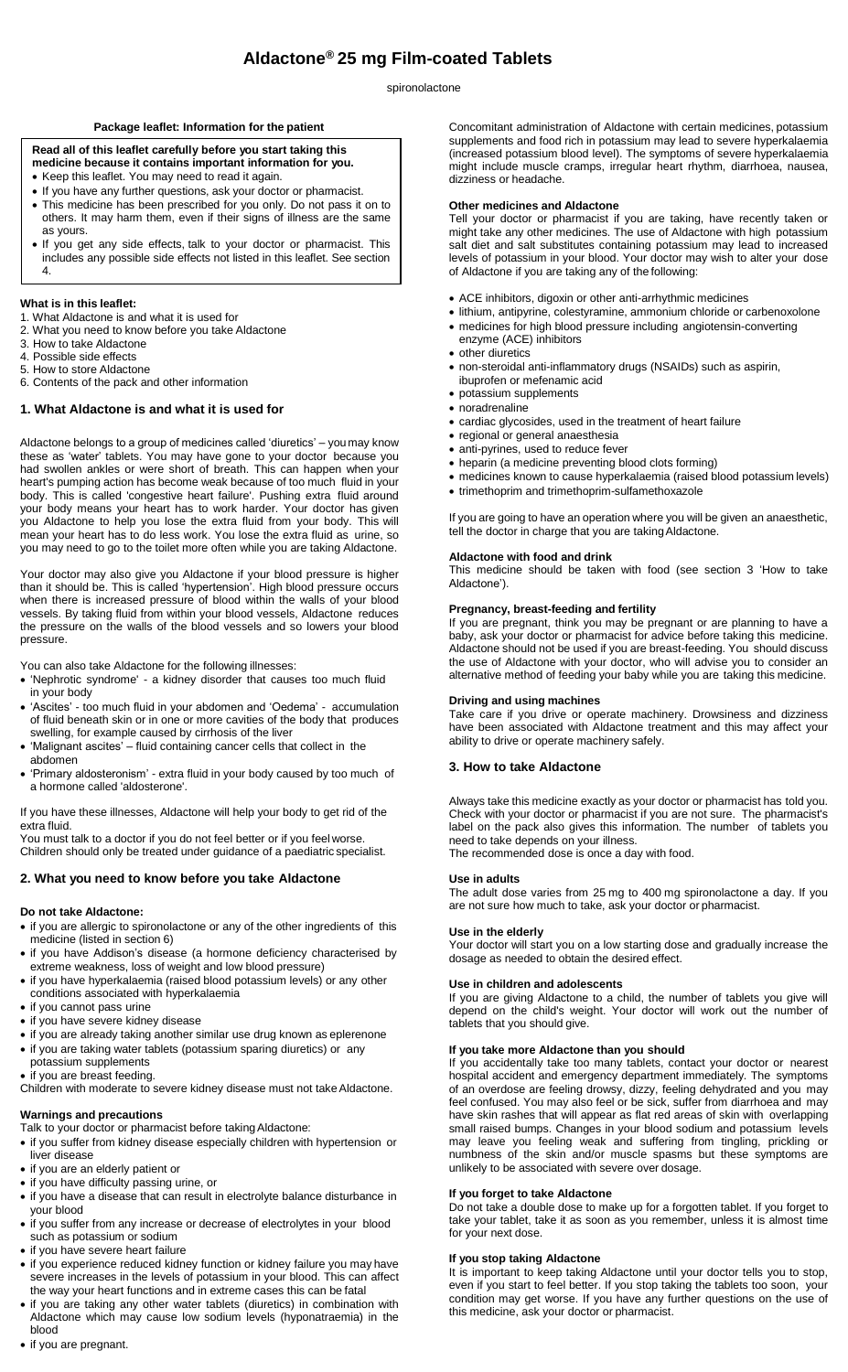# **Aldactone® 25 mg Film-coated Tablets**

spironolactone

# **Package leaflet: Information for the patient**

# **Read all of this leaflet carefully before you start taking this**

- **medicine because it contains important information for you.**
- Keep this leaflet. You may need to read it again.
- If you have any further questions, ask your doctor or pharmacist.
- This medicine has been prescribed for you only. Do not pass it on to others. It may harm them, even if their signs of illness are the same as yours.
- If you get any side effects, talk to your doctor or pharmacist. This includes any possible side effects not listed in this leaflet. See section 4.

# **What is in this leaflet:**

- 1. What Aldactone is and what it is used for
- 2. What you need to know before you take Aldactone
- 3. How to take Aldactone
- 4. Possible side effects 5. How to store Aldactone
- 6. Contents of the pack and other information

# **1. What Aldactone is and what it is used for**

Aldactone belongs to a group of medicines called 'diuretics' – youmay know these as 'water' tablets. You may have gone to your doctor because you had swollen ankles or were short of breath. This can happen when your heart's pumping action has become weak because of too much fluid in your body. This is called 'congestive heart failure'. Pushing extra fluid around your body means your heart has to work harder. Your doctor has given you Aldactone to help you lose the extra fluid from your body. This will mean your heart has to do less work. You lose the extra fluid as urine, so you may need to go to the toilet more often while you are taking Aldactone.

Your doctor may also give you Aldactone if your blood pressure is higher than it should be. This is called 'hypertension'. High blood pressure occurs when there is increased pressure of blood within the walls of your blood vessels. By taking fluid from within your blood vessels, Aldactone reduces the pressure on the walls of the blood vessels and so lowers your blood pressure.

You can also take Aldactone for the following illnesses:

- 'Nephrotic syndrome' a kidney disorder that causes too much fluid in your body
- 'Ascites' too much fluid in your abdomen and 'Oedema' accumulation of fluid beneath skin or in one or more cavities of the body that produces swelling, for example caused by cirrhosis of the liver
- 'Malignant ascites' fluid containing cancer cells that collect in the abdomen
- 'Primary aldosteronism' extra fluid in your body caused by too much of a hormone called 'aldosterone'.

If you have these illnesses, Aldactone will help your body to get rid of the extra fluid.

You must talk to a doctor if you do not feel better or if you feel worse. Children should only be treated under guidance of a paediatric specialist.

# **2. What you need to know before you take Aldactone**

# **Do not take Aldactone:**

- if you are allergic to spironolactone or any of the other ingredients of this medicine (listed in section 6)
- if you have Addison's disease (a hormone deficiency characterised by extreme weakness, loss of weight and low blood pressure)
- if you have hyperkalaemia (raised blood potassium levels) or any other conditions associated with hyperkalaemia
- if you cannot pass urine
- if you have severe kidney disease
- if you are already taking another similar use drug known as eplerenone
- if you are taking water tablets (potassium sparing diuretics) or any potassium supplements
- if you are breast feeding.

Children with moderate to severe kidney disease must not takeAldactone.

# **Warnings and precautions**

- Talk to your doctor or pharmacist before takingAldactone:
- if you suffer from kidney disease especially children with hypertension or liver disease
- if you are an elderly patient or
- if you have difficulty passing urine, or
- if you have a disease that can result in electrolyte balance disturbance in your blood
- if you suffer from any increase or decrease of electrolytes in your blood such as potassium or sodium
- if you have severe heart failure
- if you experience reduced kidney function or kidney failure you may have severe increases in the levels of potassium in your blood. This can affect the way your heart functions and in extreme cases this can be fatal
- if you are taking any other water tablets (diuretics) in combination with Aldactone which may cause low sodium levels (hyponatraemia) in the blood

Concomitant administration of Aldactone with certain medicines, potassium supplements and food rich in potassium may lead to severe hyperkalaemia (increased potassium blood level). The symptoms of severe hyperkalaemia might include muscle cramps, irregular heart rhythm, diarrhoea, nausea, dizziness or headache.

# **Other medicines and Aldactone**

Tell your doctor or pharmacist if you are taking, have recently taken or might take any other medicines. The use of Aldactone with high potassium salt diet and salt substitutes containing potassium may lead to increased levels of potassium in your blood. Your doctor may wish to alter your dose of Aldactone if you are taking any of the following:

- ACE inhibitors, digoxin or other anti-arrhythmic medicines
- lithium, antipyrine, colestyramine, ammonium chloride or carbenoxolone medicines for high blood pressure including angiotensin-converting enzyme (ACE) inhibitors
- other diuretics
	-
- non-steroidal anti-inflammatory drugs (NSAIDs) such as aspirin, ibuprofen or mefenamic acid
- potassium supplements
- noradrenaline
- cardiac glycosides, used in the treatment of heart failure
- regional or general anaesthesia anti-pyrines, used to reduce fever
- heparin (a medicine preventing blood clots forming)
- medicines known to cause hyperkalaemia (raised blood potassium levels)
- trimethoprim and trimethoprim-sulfamethoxazole

If you are going to have an operation where you will be given an anaesthetic, tell the doctor in charge that you are takingAldactone.

# **Aldactone with food and drink**

This medicine should be taken with food (see section 3 'How to take Aldactone').

# **Pregnancy, breast-feeding and fertility**

If you are pregnant, think you may be pregnant or are planning to have a baby, ask your doctor or pharmacist for advice before taking this medicine. Aldactone should not be used if you are breast-feeding. You should discuss the use of Aldactone with your doctor, who will advise you to consider an alternative method of feeding your baby while you are taking this medicine.

#### **Driving and using machines**

Take care if you drive or operate machinery. Drowsiness and dizziness have been associated with Aldactone treatment and this may affect your ability to drive or operate machinery safely.

# **3. How to take Aldactone**

Always take this medicine exactly as your doctor or pharmacist has told you. Check with your doctor or pharmacist if you are not sure. The pharmacist's label on the pack also gives this information. The number of tablets you need to take depends on your illness. The recommended dose is once a day with food.

#### **Use in adults**

The adult dose varies from 25 mg to 400 mg spironolactone a day. If you are not sure how much to take, ask your doctor or pharmacist.

#### **Use in the elderly**

Your doctor will start you on a low starting dose and gradually increase the dosage as needed to obtain the desired effect.

#### **Use in children and adolescents**

If you are giving Aldactone to a child, the number of tablets you give will depend on the child's weight. Your doctor will work out the number of tablets that you should give.

# **If you take more Aldactone than you should**

If you accidentally take too many tablets, contact your doctor or nearest hospital accident and emergency department immediately. The symptoms of an overdose are feeling drowsy, dizzy, feeling dehydrated and you may feel confused. You may also feel or be sick, suffer from diarrhoea and may have skin rashes that will appear as flat red areas of skin with overlapping small raised bumps. Changes in your blood sodium and potassium levels may leave you feeling weak and suffering from tingling, prickling or numbness of the skin and/or muscle spasms but these symptoms are unlikely to be associated with severe over dosage.

# **If you forget to take Aldactone**

Do not take a double dose to make up for a forgotten tablet. If you forget to take your tablet, take it as soon as you remember, unless it is almost time for your next dose.

#### **If you stop taking Aldactone**

It is important to keep taking Aldactone until your doctor tells you to stop, even if you start to feel better. If you stop taking the tablets too soon, your condition may get worse. If you have any further questions on the use of this medicine, ask your doctor or pharmacist.

• if you are pregnant.